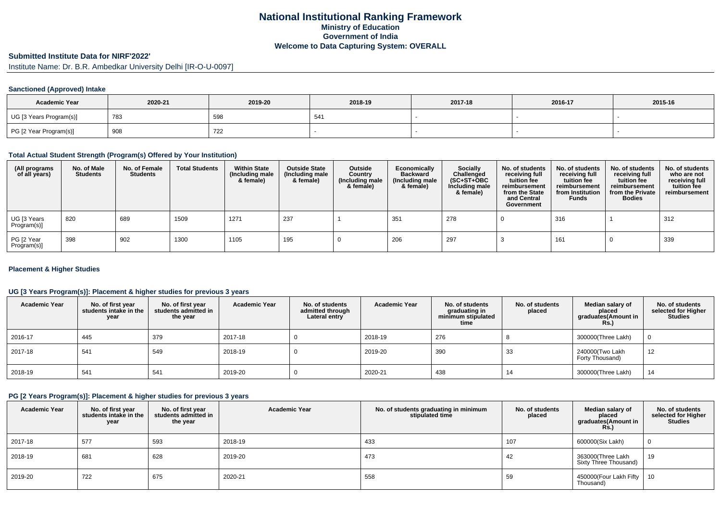## **National Institutional Ranking FrameworkMinistry of Education Government of IndiaWelcome to Data Capturing System: OVERALL**

# **Submitted Institute Data for NIRF'2022'**

Institute Name: Dr. B.R. Ambedkar University Delhi [IR-O-U-0097]

## **Sanctioned (Approved) Intake**

| <b>Academic Year</b>    | 2020-21 | 2019-20 | 2018-19     | 2017-18 | 2016-17 | 2015-16 |
|-------------------------|---------|---------|-------------|---------|---------|---------|
| UG [3 Years Program(s)] | 783     | 598     | $-$ .<br>◡┭ |         |         |         |
| PG [2 Year Program(s)]  | 908     | 722     |             |         |         |         |

#### **Total Actual Student Strength (Program(s) Offered by Your Institution)**

| (All programs<br>of all years) | No. of Male<br><b>Students</b> | No. of Female<br><b>Students</b> | <b>Total Students</b> | <b>Within State</b><br>(Including male<br>& female) | <b>Outside State</b><br>(Including male<br>& female) | Outside<br>Country<br>(Including male<br>& female) | Economically<br><b>Backward</b><br>(Including male<br>& female) | Socially<br>Challenged<br>$(SC+ST+OBC)$<br>Including male<br>& female) | No. of students<br>receiving full<br>tuition fee<br>reimbursement<br>from the State<br>and Central<br>Government | No. of students<br>receiving full<br>tuition fee<br>reimbursement<br>from Institution<br><b>Funds</b> | No. of students<br>receiving full<br>tuition fee<br>reimbursement<br>from the Private<br><b>Bodies</b> | No. of students<br>who are not<br>receiving full<br>tuition fee<br>reimbursement |
|--------------------------------|--------------------------------|----------------------------------|-----------------------|-----------------------------------------------------|------------------------------------------------------|----------------------------------------------------|-----------------------------------------------------------------|------------------------------------------------------------------------|------------------------------------------------------------------------------------------------------------------|-------------------------------------------------------------------------------------------------------|--------------------------------------------------------------------------------------------------------|----------------------------------------------------------------------------------|
| UG [3 Years<br>Program(s)]     | 820                            | 689                              | 1509                  | 1271                                                | 237                                                  |                                                    | 351                                                             | 278                                                                    |                                                                                                                  | 316                                                                                                   |                                                                                                        | 312                                                                              |
| PG [2 Year<br>Program(s)]      | 398                            | 902                              | 1300                  | 1105                                                | 195                                                  |                                                    | 206                                                             | 297                                                                    |                                                                                                                  | 161                                                                                                   |                                                                                                        | 339                                                                              |

### **Placement & Higher Studies**

## **UG [3 Years Program(s)]: Placement & higher studies for previous 3 years**

| <b>Academic Year</b> | No. of first year<br>students intake in the<br>year | No. of first vear<br>students admitted in<br>the year | <b>Academic Year</b> | No. of students<br>admitted through<br>Lateral entry | <b>Academic Year</b> | No. of students<br>graduating in<br>minimum stipulated<br>time | No. of students<br>placed | Median salary of<br>placed<br>graduates(Amount in<br><b>Rs.)</b> | No. of students<br>selected for Higher<br><b>Studies</b> |
|----------------------|-----------------------------------------------------|-------------------------------------------------------|----------------------|------------------------------------------------------|----------------------|----------------------------------------------------------------|---------------------------|------------------------------------------------------------------|----------------------------------------------------------|
| 2016-17              | 445                                                 | 379                                                   | 2017-18              |                                                      | 2018-19              | 276                                                            |                           | 300000(Three Lakh)                                               |                                                          |
| 2017-18              | 54'                                                 | 549                                                   | 2018-19              |                                                      | 2019-20              | 390                                                            | 33                        | 240000(Two Lakh<br>Forty Thousand)                               | 12                                                       |
| 2018-19              | 541                                                 | 541                                                   | 2019-20              |                                                      | 2020-21              | 438                                                            | 14                        | 300000(Three Lakh)                                               | 14                                                       |

#### **PG [2 Years Program(s)]: Placement & higher studies for previous 3 years**

| <b>Academic Year</b> | No. of first year<br>students intake in the<br>year | No. of first vear<br>students admitted in<br>the year | <b>Academic Year</b> | No. of students graduating in minimum<br>stipulated time | No. of students<br>placed | Median salary of<br>placed<br>graduates(Amount in<br><b>Rs.)</b> | No. of students<br>selected for Higher<br><b>Studies</b> |
|----------------------|-----------------------------------------------------|-------------------------------------------------------|----------------------|----------------------------------------------------------|---------------------------|------------------------------------------------------------------|----------------------------------------------------------|
| 2017-18              | 577                                                 | 593                                                   | 2018-19              | 433                                                      | 107                       | 600000(Six Lakh)                                                 | 0                                                        |
| 2018-19              | 681                                                 | 628                                                   | 2019-20              | 473                                                      | 42                        | 363000(Three Lakh<br>Sixty Three Thousand)                       | 19                                                       |
| 2019-20              | 722                                                 | 675                                                   | 2020-21              | 558                                                      | 59                        | 450000(Four Lakh Fifty<br>Thousand)                              | - 10                                                     |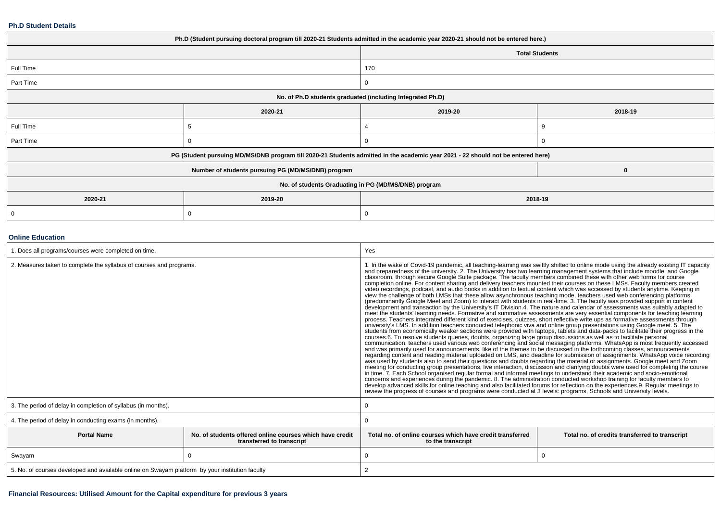### **Ph.D Student Details**

| Ph.D (Student pursuing doctoral program till 2020-21 Students admitted in the academic year 2020-21 should not be entered here.) |                                                                                                                                  |         |                       |  |  |  |
|----------------------------------------------------------------------------------------------------------------------------------|----------------------------------------------------------------------------------------------------------------------------------|---------|-----------------------|--|--|--|
|                                                                                                                                  |                                                                                                                                  |         | <b>Total Students</b> |  |  |  |
| Full Time                                                                                                                        |                                                                                                                                  | 170     |                       |  |  |  |
| Part Time                                                                                                                        |                                                                                                                                  |         |                       |  |  |  |
| No. of Ph.D students graduated (including Integrated Ph.D)                                                                       |                                                                                                                                  |         |                       |  |  |  |
|                                                                                                                                  | 2020-21                                                                                                                          | 2019-20 | 2018-19               |  |  |  |
| Full Time                                                                                                                        |                                                                                                                                  |         |                       |  |  |  |
| Part Time                                                                                                                        |                                                                                                                                  |         |                       |  |  |  |
|                                                                                                                                  | PG (Student pursuing MD/MS/DNB program till 2020-21 Students admitted in the academic year 2021 - 22 should not be entered here) |         |                       |  |  |  |
|                                                                                                                                  | Number of students pursuing PG (MD/MS/DNB) program                                                                               |         | $\bf{0}$              |  |  |  |
| No. of students Graduating in PG (MD/MS/DNB) program                                                                             |                                                                                                                                  |         |                       |  |  |  |
| 2020-21<br>2019-20<br>2018-19                                                                                                    |                                                                                                                                  |         |                       |  |  |  |
|                                                                                                                                  |                                                                                                                                  |         |                       |  |  |  |

## **Online Education**

| . Does all programs/courses were completed on time.                                                         |          | Yes                                                                                                                                                                                                                                                                                                                                                                                                                                                                                                                                                                                                                                                                                                                                                                                                                                                                                                                                                                                                                                                                                                                                                                                                                                                                                                                                                                                                                                                                                                                                                                                                                                                                                                                                                                                                                                                                                                                                                                                                                                                                                                                                                                                                                                                                                          |                                                                                                                                                                                                                                                                                                                                                                                                                                                                                                                                          |  |
|-------------------------------------------------------------------------------------------------------------|----------|----------------------------------------------------------------------------------------------------------------------------------------------------------------------------------------------------------------------------------------------------------------------------------------------------------------------------------------------------------------------------------------------------------------------------------------------------------------------------------------------------------------------------------------------------------------------------------------------------------------------------------------------------------------------------------------------------------------------------------------------------------------------------------------------------------------------------------------------------------------------------------------------------------------------------------------------------------------------------------------------------------------------------------------------------------------------------------------------------------------------------------------------------------------------------------------------------------------------------------------------------------------------------------------------------------------------------------------------------------------------------------------------------------------------------------------------------------------------------------------------------------------------------------------------------------------------------------------------------------------------------------------------------------------------------------------------------------------------------------------------------------------------------------------------------------------------------------------------------------------------------------------------------------------------------------------------------------------------------------------------------------------------------------------------------------------------------------------------------------------------------------------------------------------------------------------------------------------------------------------------------------------------------------------------|------------------------------------------------------------------------------------------------------------------------------------------------------------------------------------------------------------------------------------------------------------------------------------------------------------------------------------------------------------------------------------------------------------------------------------------------------------------------------------------------------------------------------------------|--|
| 2. Measures taken to complete the syllabus of courses and programs.                                         |          | and preparedness of the university. 2. The University has two learning management systems that include moodle, and Google<br>classroom, through secure Google Suite package. The faculty members combined these with other web forms for course<br>completion online. For content sharing and delivery teachers mounted their courses on these LMSs. Faculty members created<br>video recordings, podcast, and audio books in addition to textual content which was accessed by students anytime. Keeping in<br>view the challenge of both LMSs that these allow asynchronous teaching mode, teachers used web conferencing platforms<br>(predominantly Google Meet and Zoom) to interact with students in real-time. 3. The faculty was provided<br>development and transaction by the University's IT Division.4. The nature and calendar of assessments was suitably adapted to<br>meet the students' learning needs. Formative and summative assessments are very essential components for teaching learning<br>process. Teachers integrated different kind of exercises, quizzes, short reflective write ups as formative assessments through<br>university's LMS. In addition teachers conducted telephonic viva and online group presentations using Google meet. 5. The<br>students from economically weaker sections were provided with laptops, tablets and data-packs to facilitate their progress in the<br>courses.6. To resolve students queries, doubts, organizing large group discussions as well as to facilitate personal<br>and was primarily used for announcements, like of the themes to be discussed in the forthcoming classes, announcements<br>was used by students also to send their questions and doubts regarding the material or assignments. Google meet and Zoom<br>in time. 7. Each School organised regular formal and informal meetings to understand their academic and socio-emotional concerns and experiences during the pandemic. 8. The administration conducted workshop training for fa<br>develop advanced skills for online teaching and also facilitated forums for reflection on the experiences 9. Regular meetings to<br>review the progress of courses and programs were conducted at 3 levels: programs, Schools and University levels. | 1. In the wake of Covid-19 pandemic, all teaching-learning was swiftly shifted to online mode using the already existing IT capacity<br>communication, teachers used various web conferencing and social messaging platforms. WhatsApp is most frequently accessed<br>regarding content and reading material uploaded on LMS, and deadline for submission of assignments. WhatsApp voice recording<br>meeting for conducting group presentations, live interaction, discussion and clarifying doubts were used for completing the course |  |
| 3. The period of delay in completion of syllabus (in months).                                               |          | 0                                                                                                                                                                                                                                                                                                                                                                                                                                                                                                                                                                                                                                                                                                                                                                                                                                                                                                                                                                                                                                                                                                                                                                                                                                                                                                                                                                                                                                                                                                                                                                                                                                                                                                                                                                                                                                                                                                                                                                                                                                                                                                                                                                                                                                                                                            |                                                                                                                                                                                                                                                                                                                                                                                                                                                                                                                                          |  |
| 4. The period of delay in conducting exams (in months).                                                     |          | 0                                                                                                                                                                                                                                                                                                                                                                                                                                                                                                                                                                                                                                                                                                                                                                                                                                                                                                                                                                                                                                                                                                                                                                                                                                                                                                                                                                                                                                                                                                                                                                                                                                                                                                                                                                                                                                                                                                                                                                                                                                                                                                                                                                                                                                                                                            |                                                                                                                                                                                                                                                                                                                                                                                                                                                                                                                                          |  |
| <b>Portal Name</b><br>No. of students offered online courses which have credit<br>transferred to transcript |          | Total no. of online courses which have credit transferred<br>to the transcript                                                                                                                                                                                                                                                                                                                                                                                                                                                                                                                                                                                                                                                                                                                                                                                                                                                                                                                                                                                                                                                                                                                                                                                                                                                                                                                                                                                                                                                                                                                                                                                                                                                                                                                                                                                                                                                                                                                                                                                                                                                                                                                                                                                                               | Total no. of credits transferred to transcript                                                                                                                                                                                                                                                                                                                                                                                                                                                                                           |  |
| Swayam                                                                                                      | $\Omega$ | 0                                                                                                                                                                                                                                                                                                                                                                                                                                                                                                                                                                                                                                                                                                                                                                                                                                                                                                                                                                                                                                                                                                                                                                                                                                                                                                                                                                                                                                                                                                                                                                                                                                                                                                                                                                                                                                                                                                                                                                                                                                                                                                                                                                                                                                                                                            |                                                                                                                                                                                                                                                                                                                                                                                                                                                                                                                                          |  |
| 5. No. of courses developed and available online on Swayam platform by your institution faculty             |          | 2                                                                                                                                                                                                                                                                                                                                                                                                                                                                                                                                                                                                                                                                                                                                                                                                                                                                                                                                                                                                                                                                                                                                                                                                                                                                                                                                                                                                                                                                                                                                                                                                                                                                                                                                                                                                                                                                                                                                                                                                                                                                                                                                                                                                                                                                                            |                                                                                                                                                                                                                                                                                                                                                                                                                                                                                                                                          |  |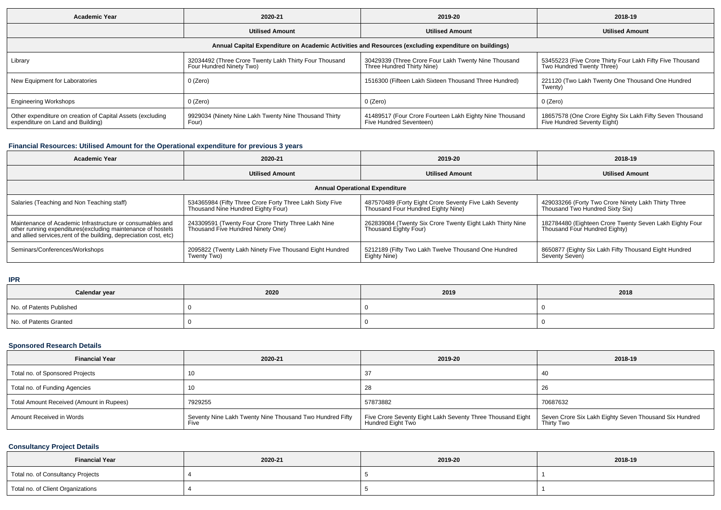| <b>Academic Year</b>                                                                                 | 2020-21                                                                            | 2019-20                                                                            | 2018-19                                                                                 |  |  |  |  |  |
|------------------------------------------------------------------------------------------------------|------------------------------------------------------------------------------------|------------------------------------------------------------------------------------|-----------------------------------------------------------------------------------------|--|--|--|--|--|
|                                                                                                      | <b>Utilised Amount</b>                                                             | <b>Utilised Amount</b>                                                             | <b>Utilised Amount</b>                                                                  |  |  |  |  |  |
| Annual Capital Expenditure on Academic Activities and Resources (excluding expenditure on buildings) |                                                                                    |                                                                                    |                                                                                         |  |  |  |  |  |
| Library                                                                                              | 32034492 (Three Crore Twenty Lakh Thirty Four Thousand<br>Four Hundred Ninety Two) | 30429339 (Three Crore Four Lakh Twenty Nine Thousand<br>Three Hundred Thirty Nine) | 53455223 (Five Crore Thirty Four Lakh Fifty Five Thousand<br>Two Hundred Twenty Three)  |  |  |  |  |  |
| New Equipment for Laboratories                                                                       | 0 (Zero)                                                                           | 1516300 (Fifteen Lakh Sixteen Thousand Three Hundred)                              | 221120 (Two Lakh Twenty One Thousand One Hundred<br>Twenty)                             |  |  |  |  |  |
| <b>Engineering Workshops</b>                                                                         | 0 (Zero)                                                                           | 0 (Zero)                                                                           | 0 (Zero)                                                                                |  |  |  |  |  |
| Other expenditure on creation of Capital Assets (excluding<br>expenditure on Land and Building)      | 9929034 (Ninety Nine Lakh Twenty Nine Thousand Thirty<br>Four)                     | 41489517 (Four Crore Fourteen Lakh Eighty Nine Thousand<br>Five Hundred Seventeen) | 18657578 (One Crore Eighty Six Lakh Fifty Seven Thousand<br>Five Hundred Seventy Eight) |  |  |  |  |  |

## **Financial Resources: Utilised Amount for the Operational expenditure for previous 3 years**

| <b>Academic Year</b>                                                                                                                                                                            | 2020-21                                                                                        | 2019-20                                                                                      | 2018-19                                                                                  |  |  |  |  |
|-------------------------------------------------------------------------------------------------------------------------------------------------------------------------------------------------|------------------------------------------------------------------------------------------------|----------------------------------------------------------------------------------------------|------------------------------------------------------------------------------------------|--|--|--|--|
|                                                                                                                                                                                                 | <b>Utilised Amount</b>                                                                         | <b>Utilised Amount</b>                                                                       | <b>Utilised Amount</b>                                                                   |  |  |  |  |
| <b>Annual Operational Expenditure</b>                                                                                                                                                           |                                                                                                |                                                                                              |                                                                                          |  |  |  |  |
| Salaries (Teaching and Non Teaching staff)                                                                                                                                                      | 534365984 (Fifty Three Crore Forty Three Lakh Sixty Five<br>Thousand Nine Hundred Eighty Four) | 487570489 (Forty Eight Crore Seventy Five Lakh Seventy<br>Thousand Four Hundred Eighty Nine) | 429033266 (Forty Two Crore Ninety Lakh Thirty Three<br>Thousand Two Hundred Sixty Six)   |  |  |  |  |
| Maintenance of Academic Infrastructure or consumables and<br>other running expenditures (excluding maintenance of hostels<br>and allied services, rent of the building, depreciation cost, etc) | 243309591 (Twenty Four Crore Thirty Three Lakh Nine<br>Thousand Five Hundred Ninety One)       | 262839084 (Twenty Six Crore Twenty Eight Lakh Thirty Nine<br>Thousand Eighty Four)           | 182784480 (Eighteen Crore Twenty Seven Lakh Eighty Four<br>Thousand Four Hundred Eighty) |  |  |  |  |
| Seminars/Conferences/Workshops                                                                                                                                                                  | 2095822 (Twenty Lakh Ninety Five Thousand Eight Hundred<br>Twenty Two)                         | 5212189 (Fifty Two Lakh Twelve Thousand One Hundred<br>Eighty Nine)                          | 8650877 (Eighty Six Lakh Fifty Thousand Eight Hundred<br>Seventy Seven)                  |  |  |  |  |

**IPR**

| Calendar year            | 2020 | 2019 | 2018 |
|--------------------------|------|------|------|
| No. of Patents Published |      |      |      |
| No. of Patents Granted   |      |      |      |

## **Sponsored Research Details**

| <b>Financial Year</b>                    | 2020-21                                                          | 2019-20                                                                         | 2018-19                                                              |
|------------------------------------------|------------------------------------------------------------------|---------------------------------------------------------------------------------|----------------------------------------------------------------------|
| Total no. of Sponsored Projects          |                                                                  |                                                                                 |                                                                      |
| Total no. of Funding Agencies            |                                                                  | 28                                                                              | 26                                                                   |
| Total Amount Received (Amount in Rupees) | 7929255                                                          | 57873882                                                                        | 70687632                                                             |
| Amount Received in Words                 | Seventy Nine Lakh Twenty Nine Thousand Two Hundred Fifty<br>Five | Five Crore Seventy Eight Lakh Seventy Three Thousand Eight<br>Hundred Eight Two | Seven Crore Six Lakh Eighty Seven Thousand Six Hundred<br>Thirty Two |

## **Consultancy Project Details**

| <b>Financial Year</b>             | 2020-21 | 2019-20 | 2018-19 |
|-----------------------------------|---------|---------|---------|
| Total no. of Consultancy Projects |         |         |         |
| Total no. of Client Organizations |         |         |         |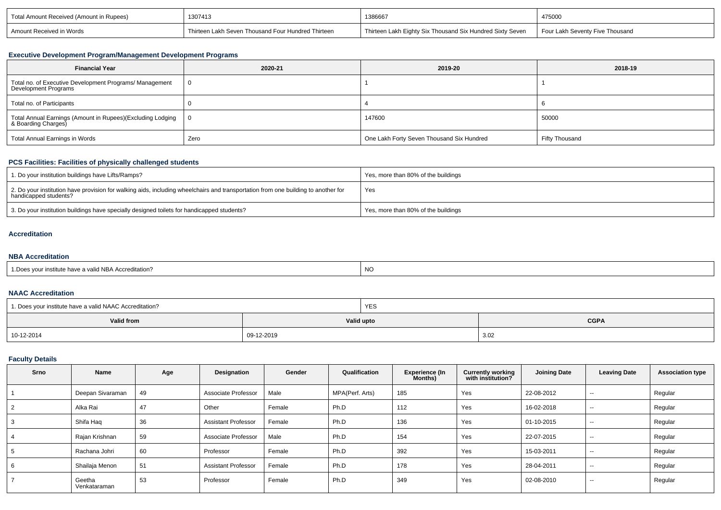| Total Amount Received (Amount in Rupees) | 1307413                                            | 1386667                                                   | 475000                          |
|------------------------------------------|----------------------------------------------------|-----------------------------------------------------------|---------------------------------|
| Amount Received in Words                 | rhirteen Lakh Seven Thousand Four Hundred Thirteen | Thirteen Lakh Eighty Six Thousand Six Hundred Sixty Seven | Four Lakh Seventy Five Thousand |

# **Executive Development Program/Management Development Programs**

| <b>Financial Year</b>                                                            | 2020-21 | 2019-20                                   | 2018-19        |
|----------------------------------------------------------------------------------|---------|-------------------------------------------|----------------|
| Total no. of Executive Development Programs/ Management<br>Development Programs  |         |                                           |                |
| Total no. of Participants                                                        |         |                                           |                |
| Total Annual Earnings (Amount in Rupees)(Excluding Lodging<br>& Boarding Charges |         | 147600                                    | 50000          |
| Total Annual Earnings in Words                                                   | Zero    | One Lakh Forty Seven Thousand Six Hundred | Fifty Thousand |

# **PCS Facilities: Facilities of physically challenged students**

| 1. Do your institution buildings have Lifts/Ramps?                                                                                                         | Yes, more than 80% of the buildings |
|------------------------------------------------------------------------------------------------------------------------------------------------------------|-------------------------------------|
| 2. Do your institution have provision for walking aids, including wheelchairs and transportation from one building to another for<br>handicapped students? | Yes                                 |
| 3. Do your institution buildings have specially designed toilets for handicapped students?                                                                 | Yes, more than 80% of the buildings |

## **Accreditation**

#### **NBA Accreditation**

| 1. Does vour institute have a valid NBA Accreditation? | NC |
|--------------------------------------------------------|----|
|--------------------------------------------------------|----|

## **NAAC Accreditation**

| 1. Does your institute have a valid NAAC Accreditation? |            | YES                       |      |  |
|---------------------------------------------------------|------------|---------------------------|------|--|
| Valid from                                              |            | <b>CGPA</b><br>Valid upto |      |  |
| 10-12-2014                                              | 09-12-2019 |                           | 3.02 |  |

## **Faculty Details**

| <b>Srno</b> | Name                   | Age | Designation                | Gender | Qualification   | <b>Experience (In</b><br>Months) | <b>Currently working</b><br>with institution? | <b>Joining Date</b> | <b>Leaving Date</b>      | <b>Association type</b> |
|-------------|------------------------|-----|----------------------------|--------|-----------------|----------------------------------|-----------------------------------------------|---------------------|--------------------------|-------------------------|
|             | Deepan Sivaraman       | 49  | Associate Professor        | Male   | MPA(Perf. Arts) | 185                              | Yes                                           | 22-08-2012          | $\sim$                   | Regular                 |
| 2           | Alka Rai               | 47  | Other                      | Female | Ph.D            | 112                              | Yes                                           | 16-02-2018          | $\overline{\phantom{a}}$ | Regular                 |
| 3           | Shifa Haq              | 36  | <b>Assistant Professor</b> | Female | Ph.D            | 136                              | Yes                                           | 01-10-2015          | $\sim$                   | Regular                 |
|             | Rajan Krishnan         | 59  | Associate Professor        | Male   | Ph.D            | 154                              | Yes                                           | 22-07-2015          | $\sim$ $\sim$            | Regular                 |
| 5           | Rachana Johri          | 60  | Professor                  | Female | Ph.D            | 392                              | Yes                                           | 15-03-2011          | $- -$                    | Regular                 |
| 6           | Shailaja Menon         | 51  | <b>Assistant Professor</b> | Female | Ph.D            | 178                              | Yes                                           | 28-04-2011          | $\overline{\phantom{a}}$ | Regular                 |
|             | Geetha<br>Venkataraman | 53  | Professor                  | Female | Ph.D            | 349                              | Yes                                           | 02-08-2010          | $\sim$                   | Regular                 |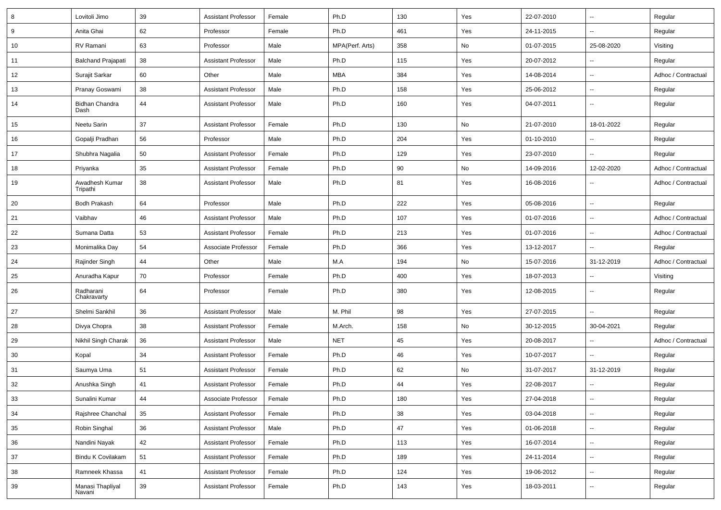| 8      | Lovitoli Jimo              | 39     | <b>Assistant Professor</b> | Female | Ph.D            | 130 | Yes | 22-07-2010 | $\overline{\phantom{a}}$ | Regular             |
|--------|----------------------------|--------|----------------------------|--------|-----------------|-----|-----|------------|--------------------------|---------------------|
| 9      | Anita Ghai                 | 62     | Professor                  | Female | Ph.D            | 461 | Yes | 24-11-2015 | $\overline{\phantom{a}}$ | Regular             |
| 10     | RV Ramani                  | 63     | Professor                  | Male   | MPA(Perf. Arts) | 358 | No  | 01-07-2015 | 25-08-2020               | Visiting            |
| 11     | <b>Balchand Prajapati</b>  | 38     | <b>Assistant Professor</b> | Male   | Ph.D            | 115 | Yes | 20-07-2012 | $\overline{\phantom{a}}$ | Regular             |
| 12     | Surajit Sarkar             | 60     | Other                      | Male   | <b>MBA</b>      | 384 | Yes | 14-08-2014 | $\overline{\phantom{a}}$ | Adhoc / Contractual |
| 13     | Pranay Goswami             | 38     | <b>Assistant Professor</b> | Male   | Ph.D            | 158 | Yes | 25-06-2012 | Ξ.                       | Regular             |
| 14     | Bidhan Chandra<br>Dash     | 44     | <b>Assistant Professor</b> | Male   | Ph.D            | 160 | Yes | 04-07-2011 | $\overline{\phantom{a}}$ | Regular             |
| 15     | Neetu Sarin                | 37     | <b>Assistant Professor</b> | Female | Ph.D            | 130 | No  | 21-07-2010 | 18-01-2022               | Regular             |
| 16     | Gopalji Pradhan            | 56     | Professor                  | Male   | Ph.D            | 204 | Yes | 01-10-2010 | $\overline{\phantom{a}}$ | Regular             |
| 17     | Shubhra Nagalia            | 50     | <b>Assistant Professor</b> | Female | Ph.D            | 129 | Yes | 23-07-2010 | Ξ.                       | Regular             |
| 18     | Priyanka                   | 35     | <b>Assistant Professor</b> | Female | Ph.D            | 90  | No  | 14-09-2016 | 12-02-2020               | Adhoc / Contractual |
| 19     | Awadhesh Kumar<br>Tripathi | 38     | <b>Assistant Professor</b> | Male   | Ph.D            | 81  | Yes | 16-08-2016 | $\overline{\phantom{a}}$ | Adhoc / Contractual |
| 20     | <b>Bodh Prakash</b>        | 64     | Professor                  | Male   | Ph.D            | 222 | Yes | 05-08-2016 | Щ,                       | Regular             |
| 21     | Vaibhav                    | 46     | Assistant Professor        | Male   | Ph.D            | 107 | Yes | 01-07-2016 | ц.                       | Adhoc / Contractual |
| 22     | Sumana Datta               | 53     | <b>Assistant Professor</b> | Female | Ph.D            | 213 | Yes | 01-07-2016 | Щ,                       | Adhoc / Contractual |
| 23     | Monimalika Day             | 54     | Associate Professor        | Female | Ph.D            | 366 | Yes | 13-12-2017 | $\overline{\phantom{a}}$ | Regular             |
| 24     | Rajinder Singh             | 44     | Other                      | Male   | M.A             | 194 | No  | 15-07-2016 | 31-12-2019               | Adhoc / Contractual |
| 25     | Anuradha Kapur             | 70     | Professor                  | Female | Ph.D            | 400 | Yes | 18-07-2013 | $\overline{\phantom{a}}$ | Visiting            |
| 26     | Radharani<br>Chakravarty   | 64     | Professor                  | Female | Ph.D            | 380 | Yes | 12-08-2015 | $\overline{\phantom{a}}$ | Regular             |
| 27     | Shelmi Sankhil             | 36     | <b>Assistant Professor</b> | Male   | M. Phil         | 98  | Yes | 27-07-2015 | Ξ.                       | Regular             |
| 28     | Divya Chopra               | 38     | <b>Assistant Professor</b> | Female | M.Arch.         | 158 | No  | 30-12-2015 | 30-04-2021               | Regular             |
| 29     | Nikhil Singh Charak        | 36     | <b>Assistant Professor</b> | Male   | <b>NET</b>      | 45  | Yes | 20-08-2017 | Щ,                       | Adhoc / Contractual |
| 30     | Kopal                      | 34     | <b>Assistant Professor</b> | Female | Ph.D            | 46  | Yes | 10-07-2017 | Ξ.                       | Regular             |
| 31     | Saumya Uma                 | 51     | <b>Assistant Professor</b> | Female | Ph.D            | 62  | No  | 31-07-2017 | 31-12-2019               | Regular             |
| 32     | Anushka Singh              | 41     | <b>Assistant Professor</b> | Female | Ph.D            | 44  | Yes | 22-08-2017 |                          | Regular             |
| $33\,$ | Sunalini Kumar             | 44     | Associate Professor        | Female | Ph.D            | 180 | Yes | 27-04-2018 | Щ,                       | Regular             |
| 34     | Rajshree Chanchal          | 35     | <b>Assistant Professor</b> | Female | Ph.D            | 38  | Yes | 03-04-2018 | Щ,                       | Regular             |
| 35     | Robin Singhal              | 36     | <b>Assistant Professor</b> | Male   | Ph.D            | 47  | Yes | 01-06-2018 | ÷,                       | Regular             |
| 36     | Nandini Nayak              | 42     | <b>Assistant Professor</b> | Female | Ph.D            | 113 | Yes | 16-07-2014 | Щ,                       | Regular             |
| 37     | Bindu K Covilakam          | 51     | <b>Assistant Professor</b> | Female | Ph.D            | 189 | Yes | 24-11-2014 | Щ,                       | Regular             |
| 38     | Ramneek Khassa             | 41     | <b>Assistant Professor</b> | Female | Ph.D            | 124 | Yes | 19-06-2012 | Щ,                       | Regular             |
| 39     | Manasi Thapliyal<br>Navani | $39\,$ | <b>Assistant Professor</b> | Female | Ph.D            | 143 | Yes | 18-03-2011 | ۰.                       | Regular             |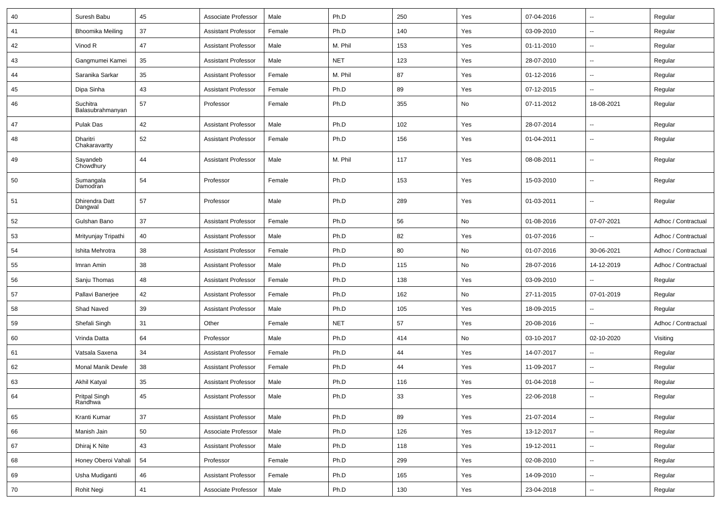| 40 | Suresh Babu                  | 45 | Associate Professor        | Male   | Ph.D       | 250 | Yes | 07-04-2016 | $\overline{\phantom{a}}$ | Regular             |
|----|------------------------------|----|----------------------------|--------|------------|-----|-----|------------|--------------------------|---------------------|
| 41 | <b>Bhoomika Meiling</b>      | 37 | <b>Assistant Professor</b> | Female | Ph.D       | 140 | Yes | 03-09-2010 | ⊷.                       | Regular             |
| 42 | Vinod R                      | 47 | <b>Assistant Professor</b> | Male   | M. Phil    | 153 | Yes | 01-11-2010 | $\overline{\phantom{a}}$ | Regular             |
| 43 | Gangmumei Kamei              | 35 | <b>Assistant Professor</b> | Male   | <b>NET</b> | 123 | Yes | 28-07-2010 | --                       | Regular             |
| 44 | Saranika Sarkar              | 35 | <b>Assistant Professor</b> | Female | M. Phil    | 87  | Yes | 01-12-2016 | --                       | Regular             |
| 45 | Dipa Sinha                   | 43 | <b>Assistant Professor</b> | Female | Ph.D       | 89  | Yes | 07-12-2015 | ۵.                       | Regular             |
| 46 | Suchitra<br>Balasubrahmanyan | 57 | Professor                  | Female | Ph.D       | 355 | No  | 07-11-2012 | 18-08-2021               | Regular             |
| 47 | Pulak Das                    | 42 | <b>Assistant Professor</b> | Male   | Ph.D       | 102 | Yes | 28-07-2014 | $\overline{\phantom{a}}$ | Regular             |
| 48 | Dharitri<br>Chakaravartty    | 52 | <b>Assistant Professor</b> | Female | Ph.D       | 156 | Yes | 01-04-2011 | $\overline{\phantom{a}}$ | Regular             |
| 49 | Sayandeb<br>Chowdhury        | 44 | <b>Assistant Professor</b> | Male   | M. Phil    | 117 | Yes | 08-08-2011 | $\overline{\phantom{a}}$ | Regular             |
| 50 | Sumangala<br>Damodran        | 54 | Professor                  | Female | Ph.D       | 153 | Yes | 15-03-2010 | $\overline{\phantom{a}}$ | Regular             |
| 51 | Dhirendra Datt<br>Dangwal    | 57 | Professor                  | Male   | Ph.D       | 289 | Yes | 01-03-2011 | $\overline{\phantom{a}}$ | Regular             |
| 52 | Gulshan Bano                 | 37 | Assistant Professor        | Female | Ph.D       | 56  | No  | 01-08-2016 | 07-07-2021               | Adhoc / Contractual |
| 53 | Mrityunjay Tripathi          | 40 | <b>Assistant Professor</b> | Male   | Ph.D       | 82  | Yes | 01-07-2016 | ۵.                       | Adhoc / Contractual |
| 54 | Ishita Mehrotra              | 38 | <b>Assistant Professor</b> | Female | Ph.D       | 80  | No  | 01-07-2016 | 30-06-2021               | Adhoc / Contractual |
| 55 | Imran Amin                   | 38 | <b>Assistant Professor</b> | Male   | Ph.D       | 115 | No  | 28-07-2016 | 14-12-2019               | Adhoc / Contractual |
| 56 | Sanju Thomas                 | 48 | <b>Assistant Professor</b> | Female | Ph.D       | 138 | Yes | 03-09-2010 |                          | Regular             |
| 57 | Pallavi Banerjee             | 42 | <b>Assistant Professor</b> | Female | Ph.D       | 162 | No  | 27-11-2015 | 07-01-2019               | Regular             |
| 58 | Shad Naved                   | 39 | <b>Assistant Professor</b> | Male   | Ph.D       | 105 | Yes | 18-09-2015 | $\overline{\phantom{a}}$ | Regular             |
| 59 | Shefali Singh                | 31 | Other                      | Female | <b>NET</b> | 57  | Yes | 20-08-2016 | $\overline{a}$           | Adhoc / Contractual |
| 60 | Vrinda Datta                 | 64 | Professor                  | Male   | Ph.D       | 414 | No  | 03-10-2017 | 02-10-2020               | Visiting            |
| 61 | Vatsala Saxena               | 34 | <b>Assistant Professor</b> | Female | Ph.D       | 44  | Yes | 14-07-2017 | --                       | Regular             |
| 62 | Monal Manik Dewle            | 38 | <b>Assistant Professor</b> | Female | Ph.D       | 44  | Yes | 11-09-2017 | --                       | Regular             |
| 63 | Akhil Katyal                 | 35 | <b>Assistant Professor</b> | Male   | Ph.D       | 116 | Yes | 01-04-2018 | $\overline{\phantom{a}}$ | Regular             |
| 64 | Pritpal Singh<br>Randhwa     | 45 | <b>Assistant Professor</b> | Male   | Ph.D       | 33  | Yes | 22-06-2018 | ۰.                       | Regular             |
| 65 | Kranti Kumar                 | 37 | <b>Assistant Professor</b> | Male   | Ph.D       | 89  | Yes | 21-07-2014 | $\overline{\phantom{a}}$ | Regular             |
| 66 | Manish Jain                  | 50 | Associate Professor        | Male   | Ph.D       | 126 | Yes | 13-12-2017 | $\sim$                   | Regular             |
| 67 | Dhiraj K Nite                | 43 | <b>Assistant Professor</b> | Male   | Ph.D       | 118 | Yes | 19-12-2011 | $\overline{\phantom{a}}$ | Regular             |
| 68 | Honey Oberoi Vahali          | 54 | Professor                  | Female | Ph.D       | 299 | Yes | 02-08-2010 | $\sim$                   | Regular             |
| 69 | Usha Mudiganti               | 46 | <b>Assistant Professor</b> | Female | Ph.D       | 165 | Yes | 14-09-2010 | Ξ.                       | Regular             |
| 70 | Rohit Negi                   | 41 | Associate Professor        | Male   | Ph.D       | 130 | Yes | 23-04-2018 | $\sim$                   | Regular             |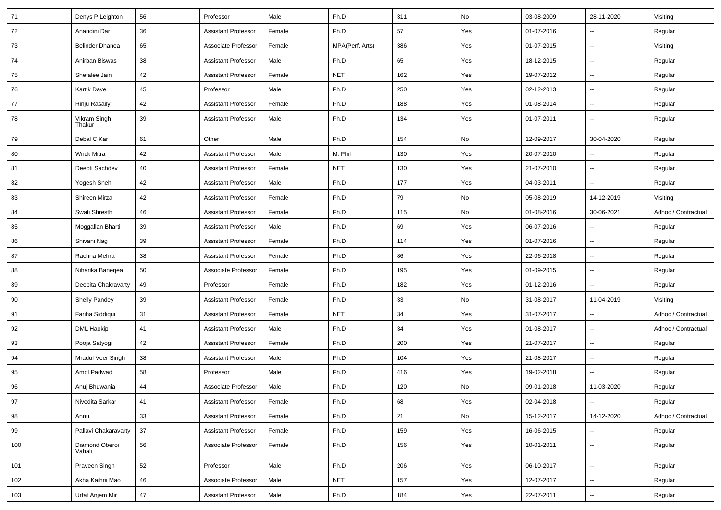| 71  | Denys P Leighton         | 56 | Professor                  | Male   | Ph.D            | 311 | No  | 03-08-2009 | 28-11-2020               | Visiting            |
|-----|--------------------------|----|----------------------------|--------|-----------------|-----|-----|------------|--------------------------|---------------------|
| 72  | Anandini Dar             | 36 | <b>Assistant Professor</b> | Female | Ph.D            | 57  | Yes | 01-07-2016 | $\sim$                   | Regular             |
| 73  | <b>Belinder Dhanoa</b>   | 65 | Associate Professor        | Female | MPA(Perf. Arts) | 386 | Yes | 01-07-2015 | --                       | Visiting            |
| 74  | Anirban Biswas           | 38 | <b>Assistant Professor</b> | Male   | Ph.D            | 65  | Yes | 18-12-2015 | --                       | Regular             |
| 75  | Shefalee Jain            | 42 | <b>Assistant Professor</b> | Female | <b>NET</b>      | 162 | Yes | 19-07-2012 | $\sim$                   | Regular             |
| 76  | <b>Kartik Dave</b>       | 45 | Professor                  | Male   | Ph.D            | 250 | Yes | 02-12-2013 | $\sim$                   | Regular             |
| 77  | Rinju Rasaily            | 42 | <b>Assistant Professor</b> | Female | Ph.D            | 188 | Yes | 01-08-2014 | $\sim$                   | Regular             |
| 78  | Vikram Singh<br>Thakur   | 39 | <b>Assistant Professor</b> | Male   | Ph.D            | 134 | Yes | 01-07-2011 | $\sim$                   | Regular             |
| 79  | Debal C Kar              | 61 | Other                      | Male   | Ph.D            | 154 | No  | 12-09-2017 | 30-04-2020               | Regular             |
| 80  | <b>Wrick Mitra</b>       | 42 | <b>Assistant Professor</b> | Male   | M. Phil         | 130 | Yes | 20-07-2010 | $\sim$                   | Regular             |
| 81  | Deepti Sachdev           | 40 | <b>Assistant Professor</b> | Female | <b>NET</b>      | 130 | Yes | 21-07-2010 | $\sim$                   | Regular             |
| 82  | Yogesh Snehi             | 42 | <b>Assistant Professor</b> | Male   | Ph.D            | 177 | Yes | 04-03-2011 | $\overline{\phantom{a}}$ | Regular             |
| 83  | Shireen Mirza            | 42 | <b>Assistant Professor</b> | Female | Ph.D            | 79  | No  | 05-08-2019 | 14-12-2019               | Visiting            |
| 84  | Swati Shresth            | 46 | <b>Assistant Professor</b> | Female | Ph.D            | 115 | No  | 01-08-2016 | 30-06-2021               | Adhoc / Contractual |
| 85  | Moggallan Bharti         | 39 | <b>Assistant Professor</b> | Male   | Ph.D            | 69  | Yes | 06-07-2016 | $\sim$                   | Regular             |
| 86  | Shivani Nag              | 39 | <b>Assistant Professor</b> | Female | Ph.D            | 114 | Yes | 01-07-2016 | $\sim$                   | Regular             |
| 87  | Rachna Mehra             | 38 | <b>Assistant Professor</b> | Female | Ph.D            | 86  | Yes | 22-06-2018 | $\overline{\phantom{a}}$ | Regular             |
| 88  | Niharika Banerjea        | 50 | Associate Professor        | Female | Ph.D            | 195 | Yes | 01-09-2015 | $\sim$                   | Regular             |
| 89  | Deepita Chakravarty      | 49 | Professor                  | Female | Ph.D            | 182 | Yes | 01-12-2016 |                          | Regular             |
| 90  | Shelly Pandey            | 39 | <b>Assistant Professor</b> | Female | Ph.D            | 33  | No  | 31-08-2017 | 11-04-2019               | Visiting            |
| 91  | Fariha Siddiqui          | 31 | <b>Assistant Professor</b> | Female | <b>NET</b>      | 34  | Yes | 31-07-2017 | $\sim$                   | Adhoc / Contractual |
| 92  | <b>DML Haokip</b>        | 41 | <b>Assistant Professor</b> | Male   | Ph.D            | 34  | Yes | 01-08-2017 | $\overline{\phantom{a}}$ | Adhoc / Contractual |
| 93  | Pooja Satyogi            | 42 | Assistant Professor        | Female | Ph.D            | 200 | Yes | 21-07-2017 | $\overline{\phantom{a}}$ | Regular             |
| 94  | Mradul Veer Singh        | 38 | <b>Assistant Professor</b> | Male   | Ph.D            | 104 | Yes | 21-08-2017 | $\sim$                   | Regular             |
| 95  | Amol Padwad              | 58 | Professor                  | Male   | Ph.D            | 416 | Yes | 19-02-2018 |                          | Regular             |
| 96  | Anuj Bhuwania            | 44 | Associate Professor        | Male   | Ph.D            | 120 | No  | 09-01-2018 | 11-03-2020               | Regular             |
| 97  | Nivedita Sarkar          | 41 | <b>Assistant Professor</b> | Female | Ph.D            | 68  | Yes | 02-04-2018 | $\sim$                   | Regular             |
| 98  | Annu                     | 33 | <b>Assistant Professor</b> | Female | Ph.D            | 21  | No  | 15-12-2017 | 14-12-2020               | Adhoc / Contractual |
| 99  | Pallavi Chakaravarty     | 37 | <b>Assistant Professor</b> | Female | Ph.D            | 159 | Yes | 16-06-2015 | Ξ.                       | Regular             |
| 100 | Diamond Oberoi<br>Vahali | 56 | Associate Professor        | Female | Ph.D            | 156 | Yes | 10-01-2011 | $\sim$                   | Regular             |
| 101 | Praveen Singh            | 52 | Professor                  | Male   | Ph.D            | 206 | Yes | 06-10-2017 | $\sim$                   | Regular             |
| 102 | Akha Kaihrii Mao         | 46 | Associate Professor        | Male   | <b>NET</b>      | 157 | Yes | 12-07-2017 | Ξ.                       | Regular             |
| 103 | Urfat Anjem Mir          | 47 | <b>Assistant Professor</b> | Male   | Ph.D            | 184 | Yes | 22-07-2011 | $\sim$                   | Regular             |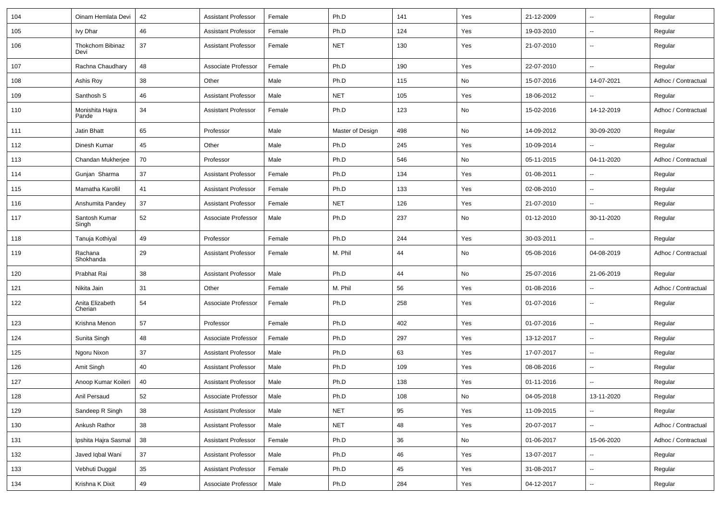| 104 | Oinam Hemlata Devi         | 42 | <b>Assistant Professor</b> | Female | Ph.D             | 141 | Yes | 21-12-2009 | $\sim$                   | Regular             |
|-----|----------------------------|----|----------------------------|--------|------------------|-----|-----|------------|--------------------------|---------------------|
| 105 | <b>Ivy Dhar</b>            | 46 | <b>Assistant Professor</b> | Female | Ph.D             | 124 | Yes | 19-03-2010 | $\sim$                   | Regular             |
| 106 | Thokchom Bibinaz<br>Devi   | 37 | <b>Assistant Professor</b> | Female | <b>NET</b>       | 130 | Yes | 21-07-2010 | $\overline{\phantom{a}}$ | Regular             |
| 107 | Rachna Chaudhary           | 48 | Associate Professor        | Female | Ph.D             | 190 | Yes | 22-07-2010 | $\sim$                   | Regular             |
| 108 | Ashis Roy                  | 38 | Other                      | Male   | Ph.D             | 115 | No  | 15-07-2016 | 14-07-2021               | Adhoc / Contractual |
| 109 | Santhosh S                 | 46 | <b>Assistant Professor</b> | Male   | <b>NET</b>       | 105 | Yes | 18-06-2012 | $\overline{\phantom{a}}$ | Regular             |
| 110 | Monishita Hajra<br>Pande   | 34 | <b>Assistant Professor</b> | Female | Ph.D             | 123 | No  | 15-02-2016 | 14-12-2019               | Adhoc / Contractual |
| 111 | Jatin Bhatt                | 65 | Professor                  | Male   | Master of Design | 498 | No  | 14-09-2012 | 30-09-2020               | Regular             |
| 112 | Dinesh Kumar               | 45 | Other                      | Male   | Ph.D             | 245 | Yes | 10-09-2014 | $\sim$                   | Regular             |
| 113 | Chandan Mukherjee          | 70 | Professor                  | Male   | Ph.D             | 546 | No  | 05-11-2015 | 04-11-2020               | Adhoc / Contractual |
| 114 | Gunjan Sharma              | 37 | <b>Assistant Professor</b> | Female | Ph.D             | 134 | Yes | 01-08-2011 | $\overline{\phantom{a}}$ | Regular             |
| 115 | Mamatha Karollil           | 41 | <b>Assistant Professor</b> | Female | Ph.D             | 133 | Yes | 02-08-2010 | $\sim$                   | Regular             |
| 116 | Anshumita Pandey           | 37 | <b>Assistant Professor</b> | Female | <b>NET</b>       | 126 | Yes | 21-07-2010 | $\sim$                   | Regular             |
| 117 | Santosh Kumar<br>Singh     | 52 | Associate Professor        | Male   | Ph.D             | 237 | No  | 01-12-2010 | 30-11-2020               | Regular             |
| 118 | Tanuja Kothiyal            | 49 | Professor                  | Female | Ph.D             | 244 | Yes | 30-03-2011 | $\sim$                   | Regular             |
| 119 | Rachana<br>Shokhanda       | 29 | <b>Assistant Professor</b> | Female | M. Phil          | 44  | No  | 05-08-2016 | 04-08-2019               | Adhoc / Contractual |
| 120 | Prabhat Rai                | 38 | <b>Assistant Professor</b> | Male   | Ph.D             | 44  | No  | 25-07-2016 | 21-06-2019               | Regular             |
| 121 | Nikita Jain                | 31 | Other                      | Female | M. Phil          | 56  | Yes | 01-08-2016 | $\sim$                   | Adhoc / Contractual |
| 122 | Anita Elizabeth<br>Cherian | 54 | Associate Professor        | Female | Ph.D             | 258 | Yes | 01-07-2016 | $\overline{\phantom{a}}$ | Regular             |
| 123 | Krishna Menon              | 57 | Professor                  | Female | Ph.D             | 402 | Yes | 01-07-2016 | $\overline{\phantom{a}}$ | Regular             |
| 124 | Sunita Singh               | 48 | Associate Professor        | Female | Ph.D             | 297 | Yes | 13-12-2017 | $\sim$                   | Regular             |
| 125 | Ngoru Nixon                | 37 | <b>Assistant Professor</b> | Male   | Ph.D             | 63  | Yes | 17-07-2017 | $\ddot{\phantom{a}}$     | Regular             |
| 126 | Amit Singh                 | 40 | <b>Assistant Professor</b> | Male   | Ph.D             | 109 | Yes | 08-08-2016 | $\overline{\phantom{a}}$ | Regular             |
| 127 | Anoop Kumar Koileri        | 40 | <b>Assistant Professor</b> | Male   | Ph.D             | 138 | Yes | 01-11-2016 | $\sim$                   | Regular             |
| 128 | Anil Persaud               | 52 | Associate Professor        | Male   | Ph.D             | 108 | No  | 04-05-2018 | 13-11-2020               | Regular             |
| 129 | Sandeep R Singh            | 38 | <b>Assistant Professor</b> | Male   | <b>NET</b>       | 95  | Yes | 11-09-2015 | $\ddot{\phantom{a}}$     | Regular             |
| 130 | Ankush Rathor              | 38 | <b>Assistant Professor</b> | Male   | <b>NET</b>       | 48  | Yes | 20-07-2017 |                          | Adhoc / Contractual |
| 131 | Ipshita Hajra Sasmal       | 38 | <b>Assistant Professor</b> | Female | Ph.D             | 36  | No  | 01-06-2017 | 15-06-2020               | Adhoc / Contractual |
| 132 | Javed Iqbal Wani           | 37 | <b>Assistant Professor</b> | Male   | Ph.D             | 46  | Yes | 13-07-2017 | $\overline{\phantom{a}}$ | Regular             |
| 133 | Vebhuti Duggal             | 35 | Assistant Professor        | Female | Ph.D             | 45  | Yes | 31-08-2017 | $\overline{\phantom{a}}$ | Regular             |
| 134 | Krishna K Dixit            | 49 | Associate Professor        | Male   | Ph.D             | 284 | Yes | 04-12-2017 | $\overline{\phantom{a}}$ | Regular             |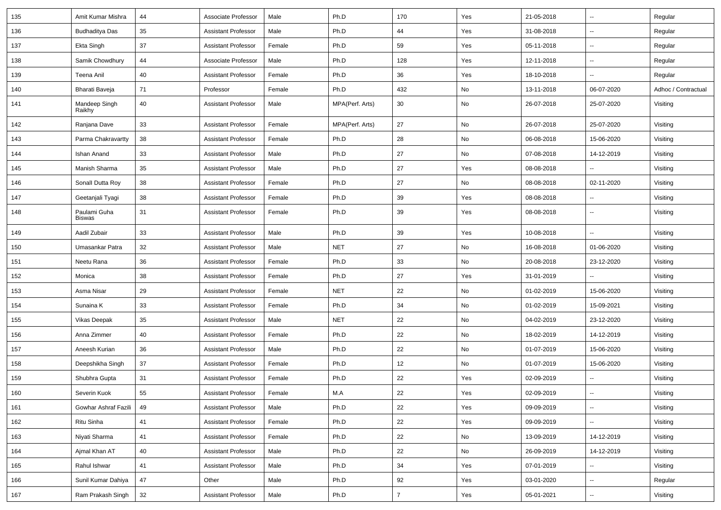| 135 | Amit Kumar Mishra       | 44 | Associate Professor        | Male   | Ph.D            | 170            | Yes | 21-05-2018 | ÷.                       | Regular             |
|-----|-------------------------|----|----------------------------|--------|-----------------|----------------|-----|------------|--------------------------|---------------------|
| 136 | <b>Budhaditya Das</b>   | 35 | <b>Assistant Professor</b> | Male   | Ph.D            | 44             | Yes | 31-08-2018 | $\sim$                   | Regular             |
| 137 | Ekta Singh              | 37 | <b>Assistant Professor</b> | Female | Ph.D            | 59             | Yes | 05-11-2018 | $\sim$                   | Regular             |
| 138 | Samik Chowdhury         | 44 | Associate Professor        | Male   | Ph.D            | 128            | Yes | 12-11-2018 | -−                       | Regular             |
| 139 | Teena Anil              | 40 | <b>Assistant Professor</b> | Female | Ph.D            | 36             | Yes | 18-10-2018 |                          | Regular             |
| 140 | Bharati Baveja          | 71 | Professor                  | Female | Ph.D            | 432            | No  | 13-11-2018 | 06-07-2020               | Adhoc / Contractual |
| 141 | Mandeep Singh<br>Raikhy | 40 | <b>Assistant Professor</b> | Male   | MPA(Perf. Arts) | 30             | No  | 26-07-2018 | 25-07-2020               | Visiting            |
| 142 | Ranjana Dave            | 33 | <b>Assistant Professor</b> | Female | MPA(Perf. Arts) | 27             | No  | 26-07-2018 | 25-07-2020               | Visiting            |
| 143 | Parma Chakravartty      | 38 | <b>Assistant Professor</b> | Female | Ph.D            | 28             | No  | 06-08-2018 | 15-06-2020               | Visiting            |
| 144 | Ishan Anand             | 33 | <b>Assistant Professor</b> | Male   | Ph.D            | 27             | No  | 07-08-2018 | 14-12-2019               | Visiting            |
| 145 | Manish Sharma           | 35 | <b>Assistant Professor</b> | Male   | Ph.D            | 27             | Yes | 08-08-2018 |                          | Visiting            |
| 146 | Sonall Dutta Roy        | 38 | <b>Assistant Professor</b> | Female | Ph.D            | 27             | No  | 08-08-2018 | 02-11-2020               | Visiting            |
| 147 | Geetanjali Tyagi        | 38 | <b>Assistant Professor</b> | Female | Ph.D            | 39             | Yes | 08-08-2018 | $\overline{\phantom{a}}$ | Visiting            |
| 148 | Paulami Guha<br>Biswas  | 31 | <b>Assistant Professor</b> | Female | Ph.D            | 39             | Yes | 08-08-2018 | $\overline{\phantom{a}}$ | Visiting            |
| 149 | Aadil Zubair            | 33 | <b>Assistant Professor</b> | Male   | Ph.D            | 39             | Yes | 10-08-2018 | ш.                       | Visiting            |
| 150 | Umasankar Patra         | 32 | <b>Assistant Professor</b> | Male   | <b>NET</b>      | 27             | No  | 16-08-2018 | 01-06-2020               | Visiting            |
| 151 | Neetu Rana              | 36 | Assistant Professor        | Female | Ph.D            | 33             | No  | 20-08-2018 | 23-12-2020               | Visiting            |
| 152 | Monica                  | 38 | <b>Assistant Professor</b> | Female | Ph.D            | 27             | Yes | 31-01-2019 |                          | Visiting            |
| 153 | Asma Nisar              | 29 | <b>Assistant Professor</b> | Female | <b>NET</b>      | 22             | No  | 01-02-2019 | 15-06-2020               | Visiting            |
| 154 | Sunaina K               | 33 | Assistant Professor        | Female | Ph.D            | 34             | No  | 01-02-2019 | 15-09-2021               | Visiting            |
| 155 | <b>Vikas Deepak</b>     | 35 | <b>Assistant Professor</b> | Male   | <b>NET</b>      | 22             | No  | 04-02-2019 | 23-12-2020               | Visiting            |
| 156 | Anna Zimmer             | 40 | <b>Assistant Professor</b> | Female | Ph.D            | 22             | No  | 18-02-2019 | 14-12-2019               | Visiting            |
| 157 | Aneesh Kurian           | 36 | <b>Assistant Professor</b> | Male   | Ph.D            | 22             | No  | 01-07-2019 | 15-06-2020               | Visiting            |
| 158 | Deepshikha Singh        | 37 | <b>Assistant Professor</b> | Female | Ph.D            | 12             | No  | 01-07-2019 | 15-06-2020               | Visiting            |
| 159 | Shubhra Gupta           | 31 | <b>Assistant Professor</b> | Female | Ph.D            | 22             | Yes | 02-09-2019 | --                       | Visiting            |
| 160 | Severin Kuok            | 55 | Assistant Professor        | Female | M.A             | 22             | Yes | 02-09-2019 |                          | Visiting            |
| 161 | Gowhar Ashraf Fazili    | 49 | <b>Assistant Professor</b> | Male   | Ph.D            | 22             | Yes | 09-09-2019 | ц.                       | Visiting            |
| 162 | Ritu Sinha              | 41 | <b>Assistant Professor</b> | Female | Ph.D            | 22             | Yes | 09-09-2019 | $\sim$                   | Visiting            |
| 163 | Niyati Sharma           | 41 | <b>Assistant Professor</b> | Female | Ph.D            | 22             | No  | 13-09-2019 | 14-12-2019               | Visiting            |
| 164 | Ajmal Khan AT           | 40 | <b>Assistant Professor</b> | Male   | Ph.D            | 22             | No  | 26-09-2019 | 14-12-2019               | Visiting            |
| 165 | Rahul Ishwar            | 41 | <b>Assistant Professor</b> | Male   | Ph.D            | 34             | Yes | 07-01-2019 |                          | Visiting            |
| 166 | Sunil Kumar Dahiya      | 47 | Other                      | Male   | Ph.D            | 92             | Yes | 03-01-2020 | Щ,                       | Regular             |
| 167 | Ram Prakash Singh       | 32 | <b>Assistant Professor</b> | Male   | Ph.D            | $\overline{7}$ | Yes | 05-01-2021 | $\overline{\phantom{a}}$ | Visiting            |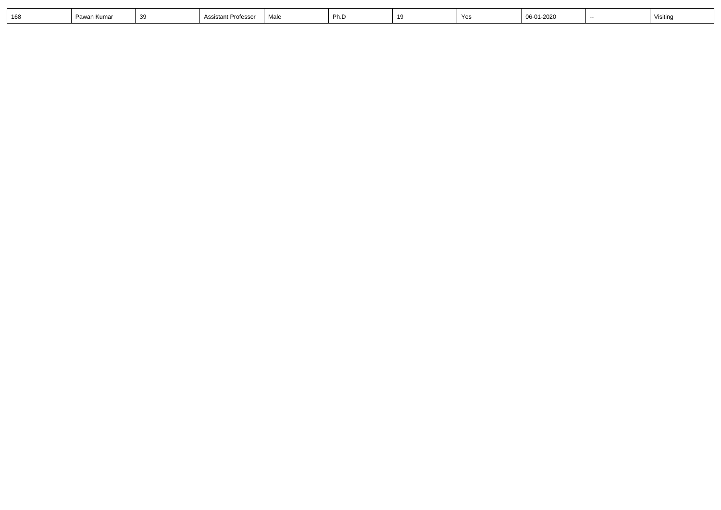| $\sim$ | Pawan Kumar | .<br>ັ | `Professo.<br>ASSISTANT | Male | - Dh<br>г н. | 10 | $V_{\alpha}$<br>ರಾ | 06-01-2020 | <b>Visitin</b> |
|--------|-------------|--------|-------------------------|------|--------------|----|--------------------|------------|----------------|
|        |             |        |                         |      |              |    |                    |            |                |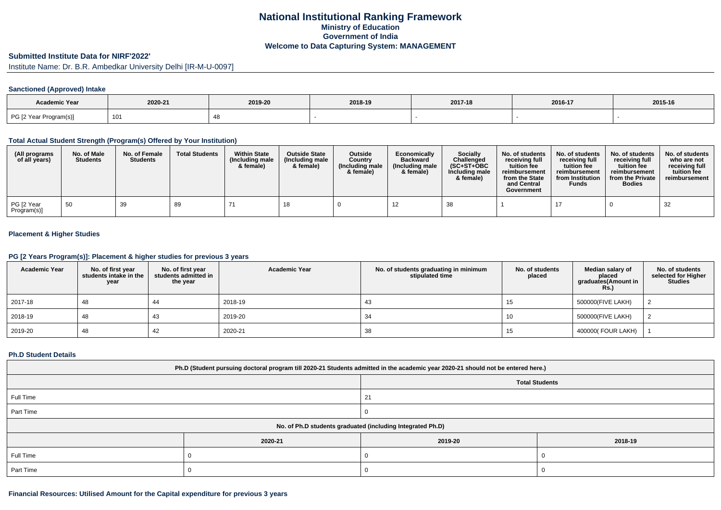## **National Institutional Ranking FrameworkMinistry of Education Government of IndiaWelcome to Data Capturing System: MANAGEMENT**

#### **Submitted Institute Data for NIRF'2022'**

Institute Name: Dr. B.R. Ambedkar University Delhi [IR-M-U-0097]

## **Sanctioned (Approved) Intake**

| <b>Academic Year</b>   | 2020-21 | 2019-20 | 2018-19 | 2017-18 | 2016-17 | 2015-16 |
|------------------------|---------|---------|---------|---------|---------|---------|
| PG [2 Year Program(s)] | 101     |         |         |         |         |         |

#### **Total Actual Student Strength (Program(s) Offered by Your Institution)**

| (All programs<br>of all years) | No. of Male<br><b>Students</b> | No. of Female<br><b>Students</b> | <b>Total Students</b> | <b>Within State</b><br>(Including male<br>& female) | <b>Outside State</b><br>(Including male)<br>& female) | <b>Outside</b><br>Country<br>(Including male<br>& female) | Economically<br><b>Backward</b><br>(Including male<br>& female) | <b>Socially</b><br>Challenged<br>$(SC+ST+OBC)$<br>Including male<br>& female) | No. of students<br>receivina full<br>tuition fee<br>reimbursement<br>from the State<br>and Central<br>Government | No. of students<br>receiving full<br>tuition fee<br>reimbursement<br>from Institution<br><b>Funds</b> | No. of students<br>receiving full<br>tuition fee<br>reimbursement<br>from the Private<br><b>Bodies</b> | No. of students<br>who are not<br>receiving full<br>tuition fee<br>reimbursement |
|--------------------------------|--------------------------------|----------------------------------|-----------------------|-----------------------------------------------------|-------------------------------------------------------|-----------------------------------------------------------|-----------------------------------------------------------------|-------------------------------------------------------------------------------|------------------------------------------------------------------------------------------------------------------|-------------------------------------------------------------------------------------------------------|--------------------------------------------------------------------------------------------------------|----------------------------------------------------------------------------------|
| PG [2 Year<br>Program(s)]      | 50                             | 39                               | 89                    |                                                     |                                                       |                                                           |                                                                 | 38                                                                            |                                                                                                                  | 17                                                                                                    |                                                                                                        | 32                                                                               |

## **Placement & Higher Studies**

### **PG [2 Years Program(s)]: Placement & higher studies for previous 3 years**

| <b>Academic Year</b> | No. of first year<br>students intake in the<br>year | No. of first vear<br>students admitted in<br>the year | <b>Academic Year</b> | No. of students graduating in minimum<br>stipulated time | No. of students<br>placed | Median salary of<br>placed<br>graduates(Amount in<br>Rs. | No. of students<br>selected for Higher<br><b>Studies</b> |
|----------------------|-----------------------------------------------------|-------------------------------------------------------|----------------------|----------------------------------------------------------|---------------------------|----------------------------------------------------------|----------------------------------------------------------|
| 2017-18              | 48                                                  | 44                                                    | 2018-19              | 43                                                       |                           | 500000(FIVE LAKH)                                        |                                                          |
| 2018-19              | 48                                                  | 43                                                    | 2019-20              | 34                                                       | 10                        | 500000(FIVE LAKH)                                        |                                                          |
| 2019-20              | 48                                                  | 42                                                    | 2020-21              | 38                                                       | 15                        | 400000( FOUR LAKH)                                       |                                                          |

#### **Ph.D Student Details**

| Ph.D (Student pursuing doctoral program till 2020-21 Students admitted in the academic year 2020-21 should not be entered here.) |         |                       |         |  |  |  |  |  |
|----------------------------------------------------------------------------------------------------------------------------------|---------|-----------------------|---------|--|--|--|--|--|
|                                                                                                                                  |         | <b>Total Students</b> |         |  |  |  |  |  |
| Full Time                                                                                                                        |         | 21                    |         |  |  |  |  |  |
| Part Time                                                                                                                        |         |                       |         |  |  |  |  |  |
| No. of Ph.D students graduated (including Integrated Ph.D)                                                                       |         |                       |         |  |  |  |  |  |
|                                                                                                                                  | 2020-21 | 2019-20               | 2018-19 |  |  |  |  |  |
| Full Time                                                                                                                        |         |                       |         |  |  |  |  |  |
| Part Time                                                                                                                        |         |                       |         |  |  |  |  |  |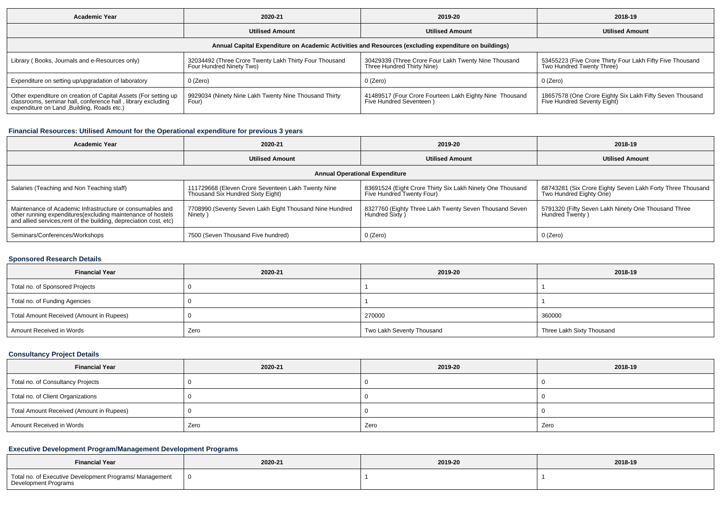| Academic Year                                                                                                                                                                  | 2020-21                                                                            | 2019-20                                                                            | 2018-19                                                                                 |  |  |  |  |  |  |  |
|--------------------------------------------------------------------------------------------------------------------------------------------------------------------------------|------------------------------------------------------------------------------------|------------------------------------------------------------------------------------|-----------------------------------------------------------------------------------------|--|--|--|--|--|--|--|
|                                                                                                                                                                                | <b>Utilised Amount</b>                                                             | <b>Utilised Amount</b>                                                             | <b>Utilised Amount</b>                                                                  |  |  |  |  |  |  |  |
| Annual Capital Expenditure on Academic Activities and Resources (excluding expenditure on buildings)                                                                           |                                                                                    |                                                                                    |                                                                                         |  |  |  |  |  |  |  |
| Library (Books, Journals and e-Resources only)                                                                                                                                 | 32034492 (Three Crore Twenty Lakh Thirty Four Thousand<br>Four Hundred Ninety Two) | 30429339 (Three Crore Four Lakh Twenty Nine Thousand<br>Three Hundred Thirty Nine) | 53455223 (Five Crore Thirty Four Lakh Fifty Five Thousand<br>Two Hundred Twenty Three)  |  |  |  |  |  |  |  |
| Expenditure on setting up/upgradation of laboratory                                                                                                                            | 0 (Zero)                                                                           | 0 (Zero)                                                                           | 0 (Zero)                                                                                |  |  |  |  |  |  |  |
| Other expenditure on creation of Capital Assets (For setting up<br>classrooms, seminar hall, conference hall, library excluding<br>expenditure on Land , Building, Roads etc.) | 9929034 (Ninety Nine Lakh Twenty Nine Thousand Thirty<br>Four)                     | 41489517 (Four Crore Fourteen Lakh Eighty Nine Thousand<br>Five Hundred Seventeen) | 18657578 (One Crore Eighty Six Lakh Fifty Seven Thousand<br>Five Hundred Seventy Eight) |  |  |  |  |  |  |  |

## **Financial Resources: Utilised Amount for the Operational expenditure for previous 3 years**

| Academic Year                                                                                                                                                                                   | 2020-21                                                                                 |                                                                                        | 2018-19                                                                               |  |  |  |  |  |  |
|-------------------------------------------------------------------------------------------------------------------------------------------------------------------------------------------------|-----------------------------------------------------------------------------------------|----------------------------------------------------------------------------------------|---------------------------------------------------------------------------------------|--|--|--|--|--|--|
|                                                                                                                                                                                                 | <b>Utilised Amount</b>                                                                  | <b>Utilised Amount</b>                                                                 | <b>Utilised Amount</b>                                                                |  |  |  |  |  |  |
| <b>Annual Operational Expenditure</b>                                                                                                                                                           |                                                                                         |                                                                                        |                                                                                       |  |  |  |  |  |  |
| Salaries (Teaching and Non Teaching staff)                                                                                                                                                      | 111729668 (Eleven Crore Seventeen Lakh Twenty Nine<br>Thousand Six Hundred Sixty Eight) | 83691524 (Eight Crore Thirty Six Lakh Ninety One Thousand<br>Five Hundred Twenty Four) | 68743281 (Six Crore Eighty Seven Lakh Forty Three Thousand<br>Two Hundred Eighty One) |  |  |  |  |  |  |
| Maintenance of Academic Infrastructure or consumables and<br>other running expenditures (excluding maintenance of hostels<br>and allied services, rent of the building, depreciation cost, etc) | 7708990 (Seventy Seven Lakh Eight Thousand Nine Hundred<br>Ninety)                      | 8327760 (Eighty Three Lakh Twenty Seven Thousand Seven<br>Hundred Sixty)               | 5791320 (Fifty Seven Lakh Ninety One Thousand Three<br>Hundred Twenty)                |  |  |  |  |  |  |
| Seminars/Conferences/Workshops                                                                                                                                                                  | 7500 (Seven Thousand Five hundred)                                                      | 0 (Zero)                                                                               | 0 (Zero)                                                                              |  |  |  |  |  |  |

### **Sponsored Research Details**

| <b>Financial Year</b>                    | 2020-21 | 2019-20                   | 2018-19                   |  |
|------------------------------------------|---------|---------------------------|---------------------------|--|
| Total no. of Sponsored Projects          |         |                           |                           |  |
| Total no. of Funding Agencies            |         |                           |                           |  |
| Total Amount Received (Amount in Rupees) |         | 270000                    | 360000                    |  |
| Amount Received in Words                 | Zero    | Two Lakh Seventy Thousand | Three Lakh Sixty Thousand |  |

## **Consultancy Project Details**

| <b>Financial Year</b>                    | 2020-21 | 2019-20 | 2018-19 |
|------------------------------------------|---------|---------|---------|
| Total no. of Consultancy Projects        |         |         |         |
| Total no. of Client Organizations        |         |         |         |
| Total Amount Received (Amount in Rupees) |         |         |         |
| Amount Received in Words                 | Zero    | Zero    | Zero    |

### **Executive Development Program/Management Development Programs**

| <b>Financial Year</b>                                                           | 2020-21 | 2019-20 | 2018-19 |  |
|---------------------------------------------------------------------------------|---------|---------|---------|--|
| Total no. of Executive Development Programs/ Management<br>Development Programs |         |         |         |  |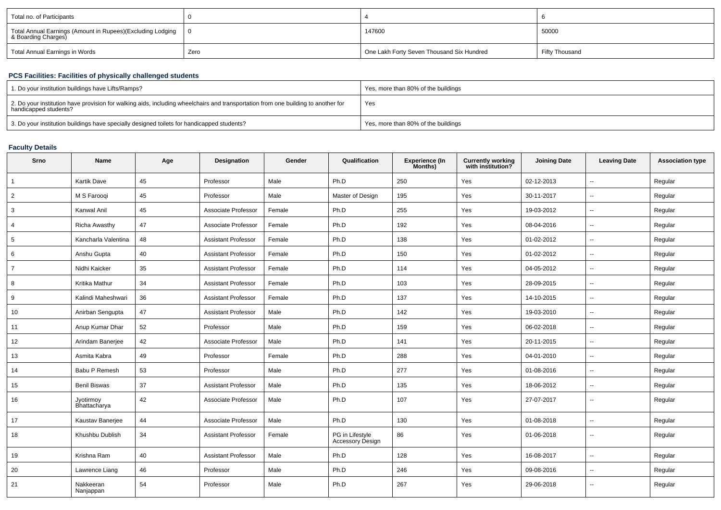| Total no. of Participants                                                           |      |                                           |                |
|-------------------------------------------------------------------------------------|------|-------------------------------------------|----------------|
| Total Annual Earnings (Amount in Rupees)(Excluding Lodging  <br>& Boarding Charges) |      | 147600                                    | 50000          |
| Total Annual Earnings in Words                                                      | Zero | One Lakh Forty Seven Thousand Six Hundred | Fifty Thousand |

# **PCS Facilities: Facilities of physically challenged students**

| 1. Do your institution buildings have Lifts/Ramps?                                                                                                         | Yes, more than 80% of the buildings |
|------------------------------------------------------------------------------------------------------------------------------------------------------------|-------------------------------------|
| 2. Do your institution have provision for walking aids, including wheelchairs and transportation from one building to another for<br>handicapped students? | Yes                                 |
| 3. Do your institution buildings have specially designed toilets for handicapped students?                                                                 | Yes, more than 80% of the buildings |

## **Faculty Details**

| Srno           | <b>Name</b>               | Age | <b>Designation</b>         | Gender | Qualification                       | <b>Experience (In</b><br>Months) | Currently working<br>with institution? | <b>Joining Date</b> | <b>Leaving Date</b>      | <b>Association type</b> |
|----------------|---------------------------|-----|----------------------------|--------|-------------------------------------|----------------------------------|----------------------------------------|---------------------|--------------------------|-------------------------|
| $\mathbf{1}$   | Kartik Dave               | 45  | Professor                  | Male   | Ph.D                                | 250                              | Yes                                    | 02-12-2013          | $\sim$                   | Regular                 |
| 2              | M S Faroogi               | 45  | Professor                  | Male   | Master of Design                    | 195                              | Yes                                    | 30-11-2017          | $\sim$                   | Regular                 |
| 3              | Kanwal Anil               | 45  | Associate Professor        | Female | Ph.D                                | 255                              | Yes                                    | 19-03-2012          | $\sim$                   | Regular                 |
| $\overline{4}$ | <b>Richa Awasthy</b>      | 47  | Associate Professor        | Female | Ph.D                                | 192                              | Yes                                    | 08-04-2016          | $\sim$                   | Regular                 |
| 5              | Kancharla Valentina       | 48  | Assistant Professor        | Female | Ph.D                                | 138                              | Yes                                    | 01-02-2012          | $\sim$                   | Regular                 |
| 6              | Anshu Gupta               | 40  | <b>Assistant Professor</b> | Female | Ph.D                                | 150                              | Yes                                    | 01-02-2012          | $\sim$                   | Regular                 |
| $\overline{7}$ | Nidhi Kaicker             | 35  | <b>Assistant Professor</b> | Female | Ph.D                                | 114                              | Yes                                    | 04-05-2012          | $\sim$                   | Regular                 |
| 8              | Kritika Mathur            | 34  | <b>Assistant Professor</b> | Female | Ph.D                                | 103                              | Yes                                    | 28-09-2015          | $\overline{\phantom{a}}$ | Regular                 |
| 9              | Kalindi Maheshwari        | 36  | <b>Assistant Professor</b> | Female | Ph.D                                | 137                              | Yes                                    | 14-10-2015          | $\sim$                   | Regular                 |
| 10             | Anirban Sengupta          | 47  | <b>Assistant Professor</b> | Male   | Ph.D                                | 142                              | Yes                                    | 19-03-2010          | $\sim$                   | Regular                 |
| 11             | Anup Kumar Dhar           | 52  | Professor                  | Male   | Ph.D                                | 159                              | Yes                                    | 06-02-2018          | $\overline{\phantom{a}}$ | Regular                 |
| 12             | Arindam Banerjee          | 42  | Associate Professor        | Male   | Ph.D                                | 141                              | Yes                                    | 20-11-2015          | $\sim$                   | Regular                 |
| 13             | Asmita Kabra              | 49  | Professor                  | Female | Ph.D                                | 288                              | Yes                                    | 04-01-2010          | $\sim$                   | Regular                 |
| 14             | Babu P Remesh             | 53  | Professor                  | Male   | Ph.D                                | 277                              | Yes                                    | 01-08-2016          | $\overline{\phantom{a}}$ | Regular                 |
| 15             | <b>Benil Biswas</b>       | 37  | <b>Assistant Professor</b> | Male   | Ph.D                                | 135                              | Yes                                    | 18-06-2012          | $\sim$                   | Regular                 |
| 16             | Jyotirmoy<br>Bhattacharya | 42  | Associate Professor        | Male   | Ph.D                                | 107                              | Yes                                    | 27-07-2017          | $\sim$                   | Regular                 |
| 17             | Kaustav Banerjee          | 44  | Associate Professor        | Male   | Ph.D                                | 130                              | Yes                                    | 01-08-2018          | $\sim$                   | Regular                 |
| 18             | Khushbu Dublish           | 34  | <b>Assistant Professor</b> | Female | PG in Lifestyle<br>Accessory Design | 86                               | Yes                                    | 01-06-2018          | $\overline{\phantom{a}}$ | Regular                 |
| 19             | Krishna Ram               | 40  | <b>Assistant Professor</b> | Male   | Ph.D                                | 128                              | Yes                                    | 16-08-2017          | $\overline{\phantom{a}}$ | Regular                 |
| 20             | Lawrence Liang            | 46  | Professor                  | Male   | Ph.D                                | 246                              | Yes                                    | 09-08-2016          | $\sim$                   | Regular                 |
| 21             | Nakkeeran<br>Nanjappan    | 54  | Professor                  | Male   | Ph.D                                | 267                              | Yes                                    | 29-06-2018          | $\sim$                   | Regular                 |